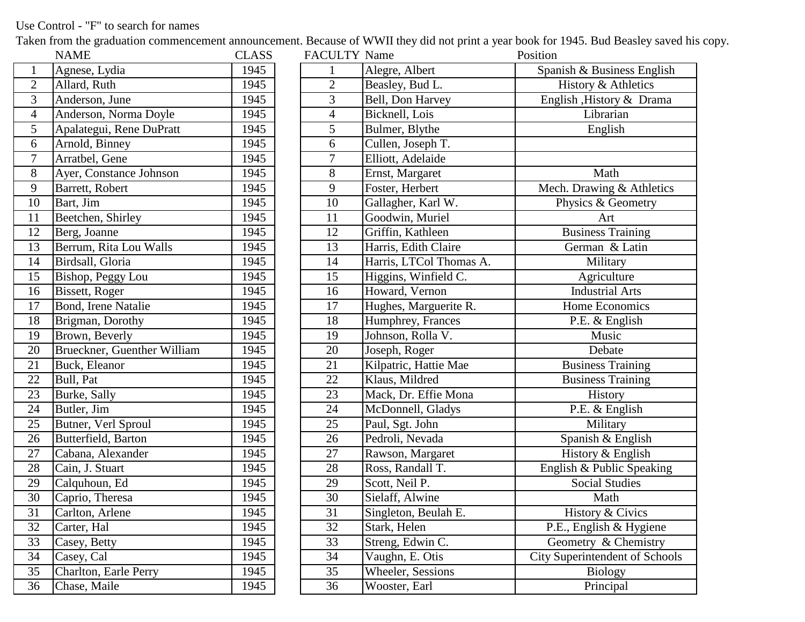## Use Control - "F" to search for names

Taken from the graduation commencement announcement. Because of WWII they did not print a year book for 1945. Bud Beasley saved his copy.

|                | <b>NAME</b>                 | <b>CLASS</b> | <b>FACULTY Name</b> |                          | Position |
|----------------|-----------------------------|--------------|---------------------|--------------------------|----------|
| $\mathbf{1}$   | Agnese, Lydia               | 1945         |                     | Alegre, Albert           | Spar     |
| $\overline{2}$ | Allard, Ruth                | 1945         | $\overline{2}$      | Beasley, Bud L.          |          |
| 3              | Anderson, June              | 1945         | 3                   | Bell, Don Harvey         | Eng      |
| $\overline{4}$ | Anderson, Norma Doyle       | 1945         | $\overline{4}$      | Bicknell, Lois           |          |
| $\overline{5}$ | Apalategui, Rene DuPratt    | 1945         | 5                   | Bulmer, Blythe           |          |
| 6              | Arnold, Binney              | 1945         | $\sqrt{6}$          | Cullen, Joseph T.        |          |
| $\tau$         | Arratbel, Gene              | 1945         | 7                   | Elliott, Adelaide        |          |
| $8\,$          | Ayer, Constance Johnson     | 1945         | $8\,$               | Ernst, Margaret          |          |
| $\overline{9}$ | Barrett, Robert             | 1945         | $\overline{9}$      | Foster, Herbert          | Me       |
| 10             | Bart, Jim                   | 1945         | 10                  | Gallagher, Karl W.       |          |
| 11             | Beetchen, Shirley           | 1945         | 11                  | Goodwin, Muriel          |          |
| 12             | Berg, Joanne                | 1945         | 12                  | Griffin, Kathleen        |          |
| 13             | Berrum, Rita Lou Walls      | 1945         | 13                  | Harris, Edith Claire     |          |
| 14             | Birdsall, Gloria            | 1945         | 14                  | Harris, LTCol Thomas A.  |          |
| 15             | Bishop, Peggy Lou           | 1945         | 15                  | Higgins, Winfield C.     |          |
| 16             | Bissett, Roger              | 1945         | 16                  | Howard, Vernon           |          |
| 17             | Bond, Irene Natalie         | 1945         | 17                  | Hughes, Marguerite R.    |          |
| 18             | Brigman, Dorothy            | 1945         | 18                  | Humphrey, Frances        |          |
| 19             | Brown, Beverly              | 1945         | 19                  | Johnson, Rolla V.        |          |
| 20             | Brueckner, Guenther William | 1945         | 20                  | Joseph, Roger            |          |
| 21             | Buck, Eleanor               | 1945         | 21                  | Kilpatric, Hattie Mae    |          |
| 22             | Bull, Pat                   | 1945         | 22                  | Klaus, Mildred           |          |
| 23             | Burke, Sally                | 1945         | 23                  | Mack, Dr. Effie Mona     |          |
| 24             | Butler, Jim                 | 1945         | 24                  | McDonnell, Gladys        |          |
| 25             | Butner, Verl Sproul         | 1945         | 25                  | Paul, Sgt. John          |          |
| 26             | Butterfield, Barton         | 1945         | 26                  | Pedroli, Nevada          |          |
| 27             | Cabana, Alexander           | 1945         | 27                  | Rawson, Margaret         |          |
| 28             | Cain, J. Stuart             | 1945         | 28                  | Ross, Randall T.         | Eng      |
| 29             | Calquhoun, Ed               | 1945         | 29                  | Scott, Neil P.           |          |
| 30             | Caprio, Theresa             | 1945         | 30                  | Sielaff, Alwine          |          |
| 31             | Carlton, Arlene             | 1945         | 31                  | Singleton, Beulah E.     |          |
| 32             | Carter, Hal                 | 1945         | 32                  | Stark, Helen             | P.       |
| 33             | Casey, Betty                | 1945         | 33                  | Streng, Edwin C.         | G        |
| 34             | Casey, Cal                  | 1945         | 34                  | Vaughn, E. Otis          | City S   |
| 35             | Charlton, Earle Perry       | 1945         | 35                  | <b>Wheeler, Sessions</b> |          |
| 36             | Chase, Maile                | 1945         | 36                  | Wooster, Earl            |          |

|                 | <b>NAME</b>                 | CLASS | <b>FACULTY Name</b> |                         | Position                              |
|-----------------|-----------------------------|-------|---------------------|-------------------------|---------------------------------------|
| $\mathbf{1}$    | Agnese, Lydia               | 1945  |                     | Alegre, Albert          | Spanish & Business English            |
| $\overline{2}$  | Allard, Ruth                | 1945  | $\mathbf{2}$        | Beasley, Bud L.         | History & Athletics                   |
| $\overline{3}$  | Anderson, June              | 1945  | 3                   | Bell, Don Harvey        | English , History & Drama             |
| $\overline{4}$  | Anderson, Norma Doyle       | 1945  | $\overline{4}$      | Bicknell, Lois          | Librarian                             |
| $\overline{5}$  | Apalategui, Rene DuPratt    | 1945  | 5                   | Bulmer, Blythe          | English                               |
| 6               | Arnold, Binney              | 1945  | 6                   | Cullen, Joseph T.       |                                       |
| $\overline{7}$  | Arratbel, Gene              | 1945  | $\tau$              | Elliott, Adelaide       |                                       |
| 8               | Ayer, Constance Johnson     | 1945  | $8\,$               | Ernst, Margaret         | Math                                  |
| $\overline{9}$  | Barrett, Robert             | 1945  | 9                   | Foster, Herbert         | Mech. Drawing & Athletics             |
| 10              | Bart, Jim                   | 1945  | 10                  | Gallagher, Karl W.      | Physics & Geometry                    |
| 11              | Beetchen, Shirley           | 1945  | 11                  | Goodwin, Muriel         | Art                                   |
| $\overline{12}$ | Berg, Joanne                | 1945  | 12                  | Griffin, Kathleen       | <b>Business Training</b>              |
| $\overline{13}$ | Berrum, Rita Lou Walls      | 1945  | $\overline{13}$     | Harris, Edith Claire    | German & Latin                        |
| $\overline{14}$ | Birdsall, Gloria            | 1945  | 14                  | Harris, LTCol Thomas A. | Military                              |
| 15              | Bishop, Peggy Lou           | 1945  | 15                  | Higgins, Winfield C.    | Agriculture                           |
| $\overline{16}$ | Bissett, Roger              | 1945  | 16                  | Howard, Vernon          | <b>Industrial Arts</b>                |
| 17              | Bond, Irene Natalie         | 1945  | 17                  | Hughes, Marguerite R.   | Home Economics                        |
| 18              | Brigman, Dorothy            | 1945  | 18                  | Humphrey, Frances       | P.E. & English                        |
| 19              | Brown, Beverly              | 1945  | 19                  | Johnson, Rolla V.       | Music                                 |
| $\overline{20}$ | Brueckner, Guenther William | 1945  | 20                  | Joseph, Roger           | Debate                                |
| $\overline{21}$ | Buck, Eleanor               | 1945  | 21                  | Kilpatric, Hattie Mae   | <b>Business Training</b>              |
| $\overline{22}$ | Bull, Pat                   | 1945  | 22                  | Klaus, Mildred          | <b>Business Training</b>              |
| $\frac{23}{2}$  | Burke, Sally                | 1945  | 23                  | Mack, Dr. Effie Mona    | History                               |
| $\overline{24}$ | Butler, Jim                 | 1945  | 24                  | McDonnell, Gladys       | P.E. & English                        |
| $\overline{25}$ | Butner, Verl Sproul         | 1945  | 25                  | Paul, Sgt. John         | Military                              |
| 26              | Butterfield, Barton         | 1945  | 26                  | Pedroli, Nevada         | Spanish & English                     |
| $\overline{27}$ | Cabana, Alexander           | 1945  | 27                  | Rawson, Margaret        | History & English                     |
| $\overline{28}$ | Cain, J. Stuart             | 1945  | 28                  | Ross, Randall T.        | English & Public Speaking             |
| 29              | Calquhoun, Ed               | 1945  | 29                  | Scott, Neil P.          | <b>Social Studies</b>                 |
| $\overline{30}$ | Caprio, Theresa             | 1945  | 30                  | Sielaff, Alwine         | Math                                  |
| 31              | Carlton, Arlene             | 1945  | 31                  | Singleton, Beulah E.    | History & Civics                      |
| $\overline{32}$ | Carter, Hal                 | 1945  | $\overline{32}$     | Stark, Helen            | P.E., English & Hygiene               |
| $\overline{33}$ | Casey, Betty                | 1945  | 33                  | Streng, Edwin C.        | Geometry & Chemistry                  |
| 34              | Casey, Cal                  | 1945  | 34                  | Vaughn, E. Otis         | <b>City Superintendent of Schools</b> |
| $\overline{35}$ | Charlton, Earle Perry       | 1945  | 35                  | Wheeler, Sessions       | <b>Biology</b>                        |
| 36              | Chase, Maile                | 1945  | 36                  | Wooster, Earl           | Principal                             |
|                 |                             |       |                     |                         |                                       |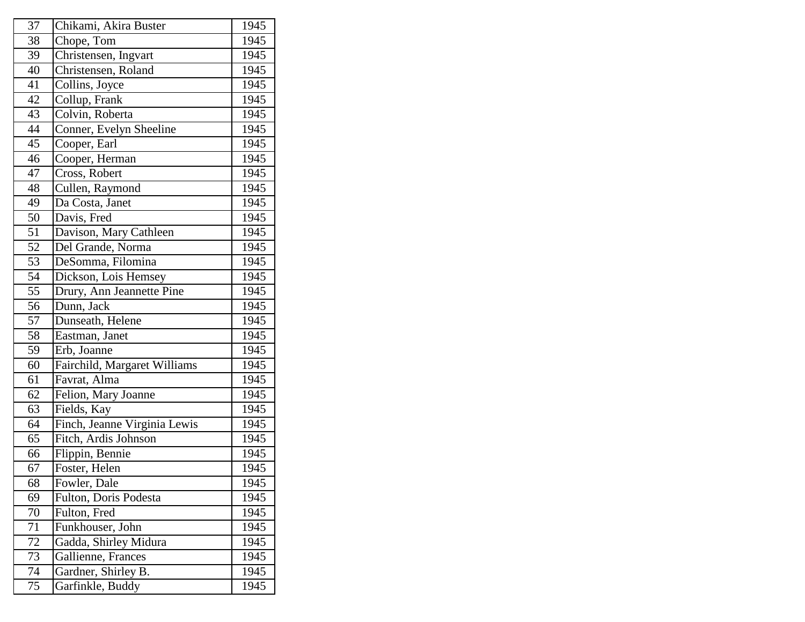| 37 | Chikami, Akira Buster        | 1945 |
|----|------------------------------|------|
| 38 | Chope, Tom                   | 1945 |
| 39 | Christensen, Ingvart         | 1945 |
| 40 | Christensen, Roland          | 1945 |
| 41 | Collins, Joyce               | 1945 |
| 42 | Collup, Frank                | 1945 |
| 43 | Colvin, Roberta              | 1945 |
| 44 | Conner, Evelyn Sheeline      | 1945 |
| 45 | Cooper, Earl                 | 1945 |
| 46 | Cooper, Herman               | 1945 |
| 47 | Cross, Robert                | 1945 |
| 48 | Cullen, Raymond              | 1945 |
| 49 | Da Costa, Janet              | 1945 |
| 50 | Davis, Fred                  | 1945 |
| 51 | Davison, Mary Cathleen       | 1945 |
| 52 | Del Grande, Norma            | 1945 |
| 53 | DeSomma, Filomina            | 1945 |
| 54 | Dickson, Lois Hemsey         | 1945 |
| 55 | Drury, Ann Jeannette Pine    | 1945 |
| 56 | Dunn, Jack                   | 1945 |
| 57 | Dunseath, Helene             | 1945 |
| 58 | Eastman, Janet               | 1945 |
| 59 | Erb, Joanne                  | 1945 |
| 60 | Fairchild, Margaret Williams | 1945 |
| 61 | Favrat, Alma                 | 1945 |
| 62 | Felion, Mary Joanne          | 1945 |
| 63 | Fields, Kay                  | 1945 |
| 64 | Finch, Jeanne Virginia Lewis | 1945 |
| 65 | Fitch, Ardis Johnson         | 1945 |
| 66 | Flippin, Bennie              | 1945 |
| 67 | Foster, Helen                | 1945 |
| 68 | Fowler, Dale                 | 1945 |
| 69 | Fulton, Doris Podesta        | 1945 |
| 70 | Fulton, Fred                 | 1945 |
| 71 | Funkhouser, John             | 1945 |
| 72 | Gadda, Shirley Midura        | 1945 |
| 73 | Gallienne, Frances           | 1945 |
| 74 | Gardner, Shirley B.          | 1945 |
| 75 | Garfinkle, Buddy             | 1945 |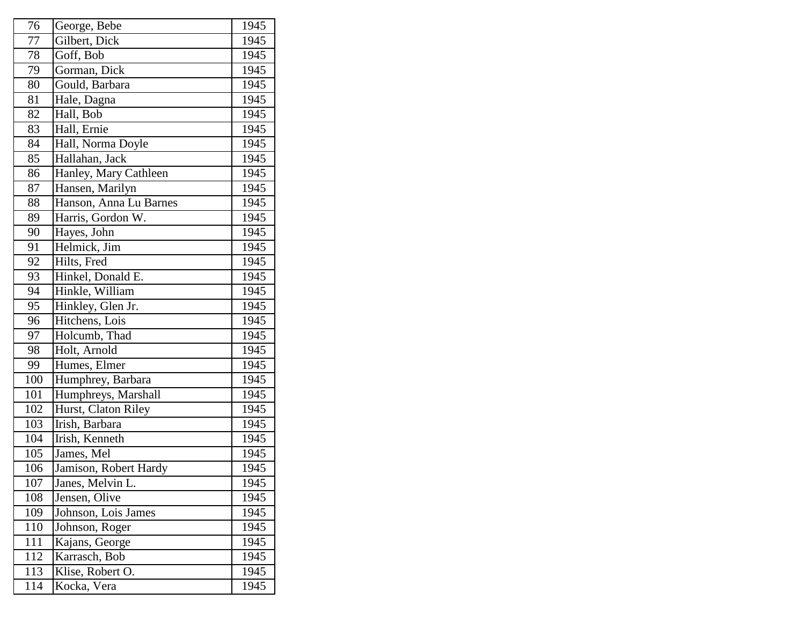| 76  | George, Bebe           | 1945 |
|-----|------------------------|------|
| 77  | Gilbert, Dick          | 1945 |
| 78  | Goff, Bob              | 1945 |
| 79  | Gorman, Dick           | 1945 |
| 80  | Gould, Barbara         | 1945 |
| 81  | Hale, Dagna            | 1945 |
| 82  | Hall, Bob              | 1945 |
| 83  | Hall, Ernie            | 1945 |
| 84  | Hall, Norma Doyle      | 1945 |
| 85  | Hallahan, Jack         | 1945 |
| 86  | Hanley, Mary Cathleen  | 1945 |
| 87  | Hansen, Marilyn        | 1945 |
| 88  | Hanson, Anna Lu Barnes | 1945 |
| 89  | Harris, Gordon W.      | 1945 |
| 90  | Hayes, John            | 1945 |
| 91  | Helmick, Jim           | 1945 |
| 92  | Hilts, Fred            | 1945 |
| 93  | Hinkel, Donald E.      | 1945 |
| 94  | Hinkle, William        | 1945 |
| 95  | Hinkley, Glen Jr.      | 1945 |
| 96  | Hitchens, Lois         | 1945 |
| 97  | Holcumb, Thad          | 1945 |
| 98  | Holt, Arnold           | 1945 |
| 99  | Humes, Elmer           | 1945 |
| 100 | Humphrey, Barbara      | 1945 |
| 101 | Humphreys, Marshall    | 1945 |
| 102 | Hurst, Claton Riley    | 1945 |
| 103 | Irish, Barbara         | 1945 |
| 104 | Irish, Kenneth         | 1945 |
| 105 | James, Mel             | 1945 |
| 106 | Jamison, Robert Hardy  | 1945 |
| 107 | Janes, Melvin L.       | 1945 |
| 108 | Jensen, Olive          | 1945 |
| 109 | Johnson, Lois James    | 1945 |
| 110 | Johnson, Roger         | 1945 |
| 111 | Kajans, George         | 1945 |
| 112 | Karrasch, Bob          | 1945 |
| 113 | Klise, Robert O.       | 1945 |
| 114 | Kocka, Vera            | 1945 |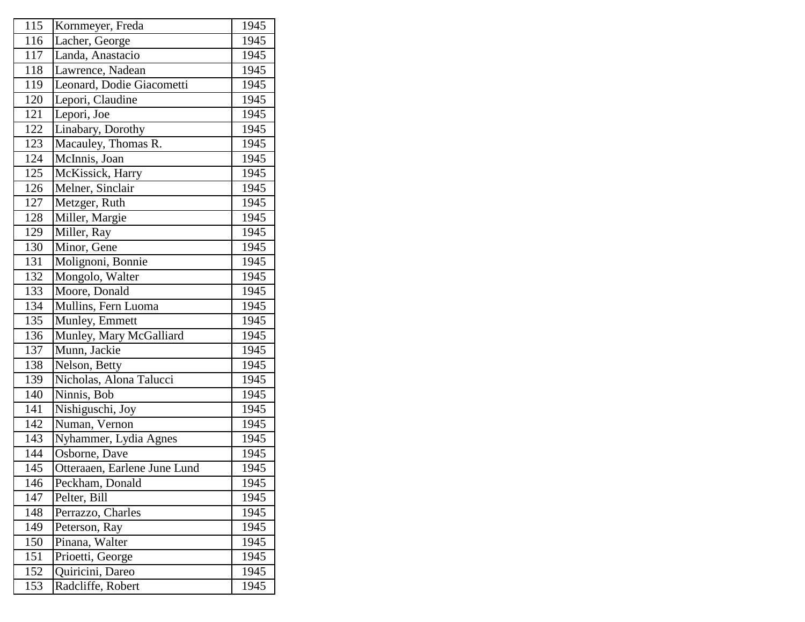| 115 | Kornmeyer, Freda             | 1945 |
|-----|------------------------------|------|
| 116 | Lacher, George               | 1945 |
| 117 | Landa, Anastacio             | 1945 |
| 118 | Lawrence, Nadean             | 1945 |
| 119 | Leonard, Dodie Giacometti    | 1945 |
| 120 | Lepori, Claudine             | 1945 |
| 121 | Lepori, Joe                  | 1945 |
| 122 | Linabary, Dorothy            | 1945 |
| 123 | Macauley, Thomas R.          | 1945 |
| 124 | McInnis, Joan                | 1945 |
| 125 | McKissick, Harry             | 1945 |
| 126 | Melner, Sinclair             | 1945 |
| 127 | Metzger, Ruth                | 1945 |
| 128 | Miller, Margie               | 1945 |
| 129 | Miller, Ray                  | 1945 |
| 130 | Minor, Gene                  | 1945 |
| 131 | Molignoni, Bonnie            | 1945 |
| 132 | Mongolo, Walter              | 1945 |
| 133 | Moore, Donald                | 1945 |
| 134 | Mullins, Fern Luoma          | 1945 |
| 135 | Munley, Emmett               | 1945 |
| 136 | Munley, Mary McGalliard      | 1945 |
| 137 | Munn, Jackie                 | 1945 |
| 138 | Nelson, Betty                | 1945 |
| 139 | Nicholas, Alona Talucci      | 1945 |
| 140 | Ninnis, Bob                  | 1945 |
| 141 | Nishiguschi, Joy             | 1945 |
| 142 | Numan, Vernon                | 1945 |
| 143 | Nyhammer, Lydia Agnes        | 1945 |
| 144 | Osborne, Dave                | 1945 |
| 145 | Otteraaen, Earlene June Lund | 1945 |
| 146 | Peckham, Donald              | 1945 |
| 147 | Pelter, Bill                 | 1945 |
| 148 | Perrazzo, Charles            | 1945 |
| 149 | Peterson, Ray                | 1945 |
| 150 | Pinana, Walter               | 1945 |
| 151 | Prioetti, George             | 1945 |
| 152 | Quiricini, Dareo             | 1945 |
| 153 | Radcliffe, Robert            | 1945 |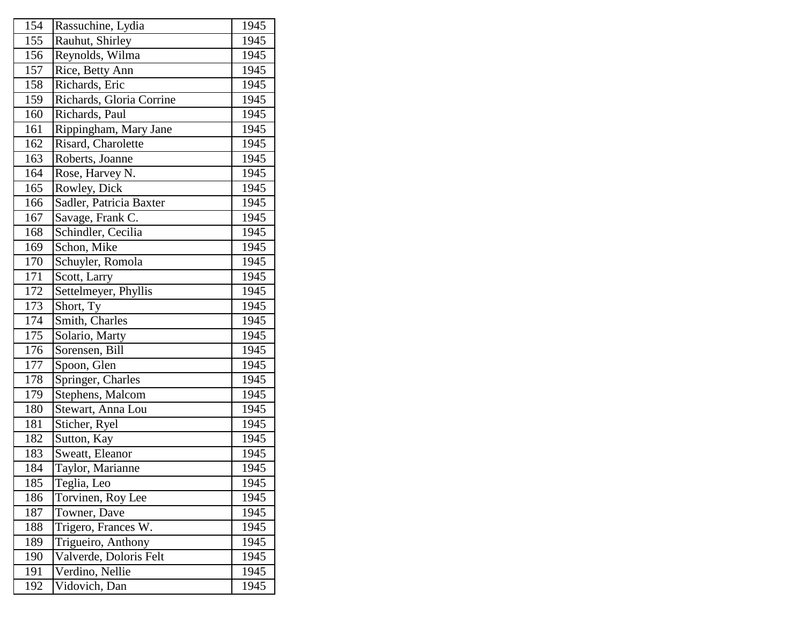| 154 | Rassuchine, Lydia        | 1945 |
|-----|--------------------------|------|
| 155 | Rauhut, Shirley          | 1945 |
| 156 | Reynolds, Wilma          | 1945 |
| 157 | Rice, Betty Ann          | 1945 |
| 158 | Richards, Eric           | 1945 |
| 159 | Richards, Gloria Corrine | 1945 |
| 160 | Richards, Paul           | 1945 |
| 161 | Rippingham, Mary Jane    | 1945 |
| 162 | Risard, Charolette       | 1945 |
| 163 | Roberts, Joanne          | 1945 |
| 164 | Rose, Harvey N.          | 1945 |
| 165 | Rowley, Dick             | 1945 |
| 166 | Sadler, Patricia Baxter  | 1945 |
| 167 | Savage, Frank C.         | 1945 |
| 168 | Schindler, Cecilia       | 1945 |
| 169 | Schon, Mike              | 1945 |
| 170 | Schuyler, Romola         | 1945 |
| 171 | Scott, Larry             | 1945 |
| 172 | Settelmeyer, Phyllis     | 1945 |
| 173 | Short, Ty                | 1945 |
| 174 | Smith, Charles           | 1945 |
| 175 | Solario, Marty           | 1945 |
| 176 | Sorensen, Bill           | 1945 |
| 177 | Spoon, Glen              | 1945 |
| 178 | Springer, Charles        | 1945 |
| 179 | Stephens, Malcom         | 1945 |
| 180 | Stewart, Anna Lou        | 1945 |
| 181 | Sticher, Ryel            | 1945 |
| 182 | Sutton, Kay              | 1945 |
| 183 | Sweatt, Eleanor          | 1945 |
| 184 | Taylor, Marianne         | 1945 |
| 185 | Teglia, Leo              | 1945 |
| 186 | Torvinen, Roy Lee        | 1945 |
| 187 | Towner, Dave             | 1945 |
| 188 | Trigero, Frances W.      | 1945 |
| 189 | Trigueiro, Anthony       | 1945 |
| 190 | Valverde, Doloris Felt   | 1945 |
| 191 | Verdino, Nellie          | 1945 |
| 192 | Vidovich, Dan            | 1945 |